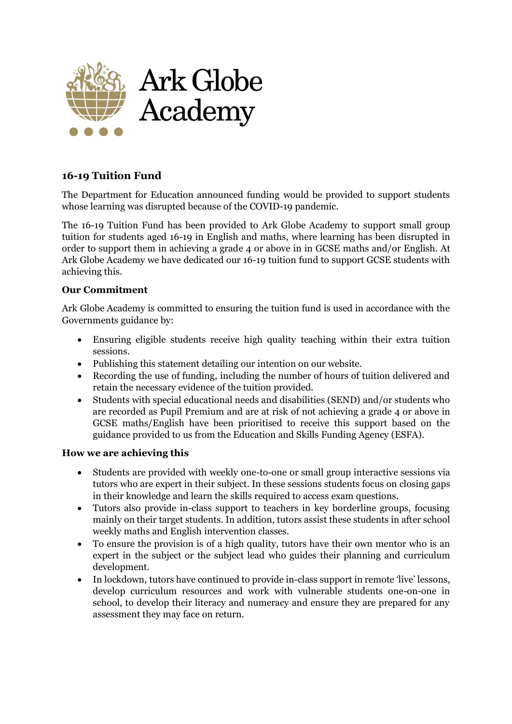

## **16-19 Tuition Fund**

The Department for Education announced funding would be provided to support students whose learning was disrupted because of the COVID-19 pandemic.

The 16-19 Tuition Fund has been provided to Ark Globe Academy to support small group tuition for students aged 16-19 in English and maths, where learning has been disrupted in order to support them in achieving a grade 4 or above in in GCSE maths and/or English. At Ark Globe Academy we have dedicated our 16-19 tuition fund to support GCSE students with achieving this.

## **Our Commitment**

Ark Globe Academy is committed to ensuring the tuition fund is used in accordance with the Governments guidance by:

- Ensuring eligible students receive high quality teaching within their extra tuition sessions.
- Publishing this statement detailing our intention on our website.
- Recording the use of funding, including the number of hours of tuition delivered and retain the necessary evidence of the tuition provided.
- Students with special educational needs and disabilities (SEND) and/or students who are recorded as Pupil Premium and are at risk of not achieving a grade 4 or above in GCSE maths/English have been prioritised to receive this support based on the guidance provided to us from the Education and Skills Funding Agency (ESFA).

## **How we are achieving this**

- Students are provided with weekly one-to-one or small group interactive sessions via tutors who are expert in their subject. In these sessions students focus on closing gaps in their knowledge and learn the skills required to access exam questions.
- Tutors also provide in-class support to teachers in key borderline groups, focusing mainly on their target students. In addition, tutors assist these students in after school weekly maths and English intervention classes.
- To ensure the provision is of a high quality, tutors have their own mentor who is an expert in the subject or the subject lead who guides their planning and curriculum development.
- In lockdown, tutors have continued to provide in-class support in remote 'live' lessons, develop curriculum resources and work with vulnerable students one-on-one in school, to develop their literacy and numeracy and ensure they are prepared for any assessment they may face on return.